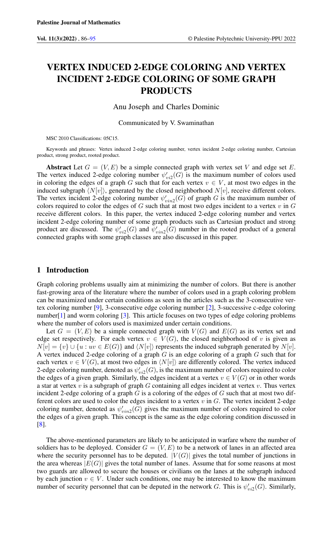# VERTEX INDUCED 2-EDGE COLORING AND VERTEX INCIDENT 2-EDGE COLORING OF SOME GRAPH PRODUCTS

Anu Joseph and Charles Dominic

Communicated by V. Swaminathan

MSC 2010 Classifications: 05C15.

Keywords and phrases: Vertex induced 2-edge coloring number, vertex incident 2-edge coloring number, Cartesian product, strong product, rooted product.

Abstract Let  $G = (V, E)$  be a simple connected graph with vertex set V and edge set E. The vertex induced 2-edge coloring number  $\psi_{vi2}'(G)$  is the maximum number of colors used in coloring the edges of a graph G such that for each vertex  $v \in V$ , at most two edges in the induced subgraph  $\langle N[v]\rangle$ , generated by the closed neighborhood  $N[v]$ , receive different colors. The vertex incident 2-edge coloring number  $\psi'_{vin2}(G)$  of graph G is the maximum number of colors required to color the edges of  $G$  such that at most two edges incident to a vertex  $v$  in  $G$ receive different colors. In this paper, the vertex induced 2-edge coloring number and vertex incident 2-edge coloring number of some graph products such as Cartesian product and strong product are discussed. The  $\psi_{vi2}'(G)$  and  $\psi_{vin2}'(G)$  number in the rooted product of a general connected graphs with some graph classes are also discussed in this paper.

#### 1 Introduction

Graph coloring problems usually aim at minimizing the number of colors. But there is another fast-growing area of the literature where the number of colors used in a graph coloring problem can be maximized under certain conditions as seen in the articles such as the 3-consecutive vertex coloring number [\[9\]](#page-9-1), 3-consecutive edge coloring number [\[2\]](#page-9-2), 3-successive c-edge coloring number $[1]$  and worm coloring  $[3]$ . This article focuses on two types of edge coloring problems where the number of colors used is maximized under certain conditions.

Let  $G = (V, E)$  be a simple connected graph with  $V(G)$  and  $E(G)$  as its vertex set and edge set respectively. For each vertex  $v \in V(G)$ , the closed neighborhood of v is given as  $N[v] = \{v\} \cup \{u : uv \in E(G)\}\$ and  $\langle N[v] \rangle$  represents the induced subgraph generated by  $N[v]$ . A vertex induced 2-edge coloring of a graph  $G$  is an edge coloring of a graph  $G$  such that for each vertex  $v \in V(G)$ , at most two edges in  $\langle N[v] \rangle$  are differently colored. The vertex induced 2-edge coloring number, denoted as  $\psi_{vi2}'(G)$ , is the maximum number of colors required to color the edges of a given graph. Similarly, the edges incident at a vertex  $v \in V(G)$  or in other words a star at vertex  $v$  is a subgraph of graph  $G$  containing all edges incident at vertex  $v$ . Thus vertex incident 2-edge coloring of a graph  $G$  is a coloring of the edges of  $G$  such that at most two different colors are used to color the edges incident to a vertex  $v$  in  $G$ . The vertex incident 2-edge coloring number, denoted as  $\psi'_{vin2}(G)$  gives the maximum number of colors required to color the edges of a given graph. This concept is the same as the edge coloring condition discussed in [\[8\]](#page-9-5).

The above-mentioned parameters are likely to be anticipated in warfare where the number of soldiers has to be deployed. Consider  $G = (V, E)$  to be a network of lanes in an affected area where the security personnel has to be deputed.  $|V(G)|$  gives the total number of junctions in the area whereas  $|E(G)|$  gives the total number of lanes. Assume that for some reasons at most two guards are allowed to secure the houses or civilians on the lanes at the subgraph induced by each junction  $v \in V$ . Under such conditions, one may be interested to know the maximum number of security personnel that can be deputed in the network G. This is  $\psi'_{vi2}(G)$ . Similarly,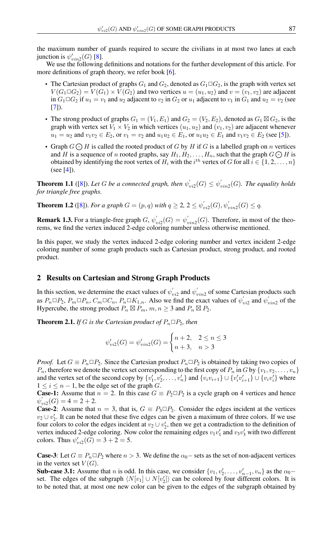the maximum number of guards required to secure the civilians in at most two lanes at each junction is  $\psi'_{vin2}(G)$  [\[8\]](#page-9-5).

We use the following definitions and notations for the further development of this article. For more definitions of graph theory, we refer book [\[6\]](#page-9-6).

- The Cartesian product of graphs  $G_1$  and  $G_2$ , denoted as  $G_1 \square G_2$ , is the graph with vertex set  $V(G_1 \square G_2) = V(G_1) \times V(G_2)$  and two vertices  $u = (u_1, u_2)$  and  $v = (v_1, v_2)$  are adjacent in  $G_1 \square G_2$  if  $u_1 = v_1$  and  $u_2$  adjacent to  $v_2$  in  $G_2$  or  $u_1$  adjacent to  $v_1$  in  $G_1$  and  $u_2 = v_2$  (see  $[7]$ ).
- The strong product of graphs  $G_1 = (V_1, E_1)$  and  $G_2 = (V_2, E_2)$ , denoted as  $G_1 \boxtimes G_2$ , is the graph with vertex set  $V_1 \times V_2$  in which vertices  $(u_1, u_2)$  and  $(v_1, v_2)$  are adjacent whenever  $u_1 = u_2$  and  $v_1v_2 \in E_2$ , or  $v_1 = v_2$  and  $u_1u_2 \in E_1$ , or  $u_1u_2 \in E_1$  and  $v_1v_2 \in E_2$  (see [\[5\]](#page-9-8)).
- Graph  $G \bigcirc H$  is called the rooted product of G by H if G is a labelled graph on n vertices and H is a sequence of n rooted graphs, say  $H_1, H_2, \ldots, H_n$ , such that the graph  $G \bigodot H$  is obtained by identifying the root vertex of  $H_i$  with the  $i^{th}$  vertex of  $G$  for all  $i \in \{1, 2, \ldots, n\}$ (see  $[4]$ ).

**Theorem 1.1** ([\[8\]](#page-9-5)). Let G be a connected graph, then  $\psi'_i$  $v'_{vi2}(G) \leq \psi'_i$ vin2 (G)*. The equality holds for triangle free graphs.*

**Theorem 1.2** ([\[8\]](#page-9-5)). *For a graph*  $G = (p, q)$  *with*  $q \ge 2$ ,  $2 \le \psi_q^{\prime}$  $v'_{vi2}(G), \psi'_{vin2}(G) \leq q.$ 

**Remark 1.3.** For a triangle-free graph  $G, \psi'_i$  $v'_{vi2}(G) = \psi'_i$  $v_{vin2}(G)$ . Therefore, in most of the theorems, we find the vertex induced 2-edge coloring number unless otherwise mentioned.

In this paper, we study the vertex induced 2-edge coloring number and vertex incident 2-edge coloring number of some graph products such as Cartesian product, strong product, and rooted product.

#### 2 Results on Cartesian and Strong Graph Products

In this section, we determine the exact values of  $\psi'_i$  $v'_{vi2}$  and  $\psi'_i$  $v_{vin2}$  of some Cartesian products such as  $P_n \Box P_2$ ,  $P_m \Box P_n$ ,  $C_m \Box C_n$ ,  $P_n \Box K_{1,n}$ . Also we find the exact values of  $\psi'_n$  $v'_{vi2}$  and  $\psi'_i$  $v_{vin2}$  of the Hypercube, the strong product  $P_n \boxtimes P_m$ ,  $m, n \geq 3$  and  $P_n \boxtimes P_2$ .

**Theorem 2.1.** *If* G *is the Cartesian product of*  $P_n \square P_2$ *, then* 

$$
\psi'_{vi2}(G) = \psi'_{vin2}(G) = \begin{cases} n+2, & 2 \le n \le 3 \\ n+3, & n > 3 \end{cases}
$$

*Proof.* Let  $G \equiv P_n \Box P_2$ . Since the Cartesian product  $P_n \Box P_2$  is obtained by taking two copies of  $P_n$ , therefore we denote the vertex set corresponding to the first copy of  $P_n$  in G by  $\{v_1, v_2, \ldots, v_n\}$ and the vertex set of the second copy by  $\{v'_1, v'_2, \ldots, v'_n\}$  and  $\{v_iv_{i+1}\} \cup \{v'_iv'_{i+1}\} \cup \{v_iv'_i\}$  where  $1 \leq i \leq n-1$ , be the edge set of the graph G.

**Case-1:** Assume that  $n = 2$ . In this case  $G = P_2 \square P_2$  is a cycle graph on 4 vertices and hence  $\psi^{'}_i$  $C_{vi2}(G) = 4 = 2 + 2.$ 

**Case-2**: Assume that  $n = 3$ , that is,  $G \equiv P_3 \square P_2$ . Consider the edges incident at the vertices  $v_2 \cup v_2'$ . It can be noted that these five edges can be given a maximum of three colors. If we use four colors to color the edges incident at  $v_2 \cup v'_2$ , then we get a contradiction to the definition of vertex induced 2-edge coloring. Now color the remaining edges  $v_1v'_1$  and  $v_3v'_3$  with two different colors. Thus  $\psi'_{vi2}(G) = 3 + 2 = 5$ .

**Case-3:** Let  $G \equiv P_n \square P_2$  where  $n > 3$ . We define the  $\alpha_0$  – sets as the set of non-adjacent vertices in the vertex set  $V(G)$ .

**Sub-case 3.1:** Assume that *n* is odd. In this case, we consider  $\{v_1, v'_2, \dots, v'_{n-1}, v_n\}$  as the  $\alpha_0$ set. The edges of the subgraph  $\langle N[v_1] \cup N[v_2'] \rangle$  can be colored by four different colors. It is to be noted that, at most one new color can be given to the edges of the subgraph obtained by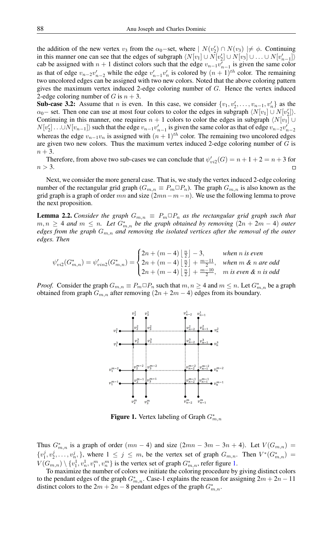the addition of the new vertex  $v_3$  from the  $\alpha_0$ -set, where  $|N(v_2') \cap N(v_3)| \neq \phi$ . Continuing in this manner one can see that the edges of subgraph  $\langle N[v_1] \cup N[v_2'] \cup N[v_3] \cup ... \cup N[v_{n-1}']\rangle$ cab be assigned with  $n + 1$  distinct colors such that the edge  $v_{n-1}v'_{n-1}$  is given the same color as that of edge  $v_{n-2}v'_{n-2}$  while the edge  $v'_{n-1}v'_{n}$  is colored by  $(n + 1)^{th}$  color. The remaining two uncolored edges can be assigned with two new colors. Noted that the above coloring pattern gives the maximum vertex induced 2-edge coloring number of G. Hence the vertex induced 2-edge coloring number of G is  $n + 3$ .

**Sub-case 3.2:** Assume that *n* is even. In this case, we consider  $\{v_1, v_2', \ldots, v_{n-1}, v_n'\}$  as the  $\alpha_0$  – set. Then one can use at most four colors to color the edges in subgraph  $\langle N[v_1] \cup N[v_2'] \rangle$ . Continuing in this manner, one requires  $n + 1$  colors to color the edges in subgraph  $\langle N[v_1] \cup$  $N[v_2'] \dots \cup N[v_{n-1}]$  such that the edge  $v_{n-1}v_{n-1}'$  is given the same color as that of edge  $v_{n-2}v_{n-2}'$ whereas the edge  $v_{n-1}v_n$  is assigned with  $(n + 1)<sup>th</sup>$  color. The remaining two uncolored edges are given two new colors. Thus the maximum vertex induced 2-edge coloring number of  $G$  is  $n+3$ .

Therefore, from above two sub-cases we can conclude that  $\psi'_{vi2}(G) = n + 1 + 2 = n + 3$  for  $n > 3$ .

Next, we consider the more general case. That is, we study the vertex induced 2-edge coloring number of the rectangular grid graph ( $G_{m,n} \equiv P_m \square P_n$ ). The graph  $G_{m,n}$  is also known as the grid graph is a graph of order mn and size  $(2mn-m-n)$ . We use the following lemma to prove the next proposition.

**Lemma 2.2.** *Consider the graph*  $G_{m,n} \equiv P_m \square P_n$  *as the rectangular grid graph such that*  $m, n ≥ 4$  and  $m ≤ n$ . Let  $G^{*}_{m,n}$  be the graph obtained by removing  $(2n + 2m - 4)$  outer *edges from the graph*  $G_{m,n}$  *and removing the isolated vertices after the removal of the outer edges. Then*

$$
\psi'_{vi2}(G_{m,n}^*) = \psi'_{vin2}(G_{m,n}^*) = \begin{cases} 2n + (m-4) \left\lfloor \frac{n}{2} \right\rfloor - 3, & \text{when } n \text{ is even} \\ 2n + (m-4) \left\lfloor \frac{n}{2} \right\rfloor + \frac{m-11}{2}, & \text{when } m \& n \text{ are odd} \\ 2n + (m-4) \left\lfloor \frac{n}{2} \right\rfloor + \frac{m-10}{2}, & m \text{ is even } \& n \text{ is odd} \end{cases}
$$

*Proof.* Consider the graph  $G_{m,n} \equiv P_m \square P_n$  such that  $m, n \ge 4$  and  $m \le n$ . Let  $G_{m,n}^*$  be a graph obtained from graph  $G_{m,n}$  after removing  $(2n + 2m - 4)$  edges from its boundary.



<span id="page-2-0"></span>**Figure 1.** Vertex labeling of Graph  $G_{m,n}^*$ 

Thus  $G^*_{m,n}$  is a graph of order  $(mn-4)$  and size  $(2mn-3m-3n+4)$ . Let  $V(G_{m,n}) =$  $\{v_1^j, v_2^j, \ldots, v_n^j\}$ , where  $1 \leq j \leq m$ , be the vertex set of graph  $G_{m,n}$ . Then  $V^*(G_{m,n}^*)$  $V(G_{m,n}) \setminus \{v_1^1, v_n^1, v_1^m, v_n^m\}$  is the vertex set of graph  $G_{m,n}^*$ , refer figure [1.](#page-2-0)

To maximize the number of colors we initiate the coloring procedure by giving distinct colors to the pendant edges of the graph  $G_{m,n}^*$ . Case-1 explains the reason for assigning  $2m + 2n - 11$ distinct colors to the  $2m + 2n - 8$  pendant edges of the graph  $G_{m,n}^*$ .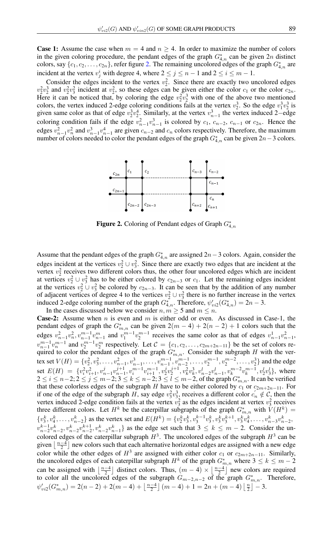**Case 1:** Assume the case when  $m = 4$  and  $n \ge 4$ . In order to maximize the number of colors in the given coloring procedure, the pendant edges of the graph  $G^*_{4,n}$  can be given  $2n$  distinct colors, say  $\{c_1, c_2, \ldots, c_{2n}\}$ , refer figure [2.](#page-3-0) The remaining uncolored edges of the graph  $G_{4,n}^*$  are incident at the vertex  $v_j^i$  with degree 4, where  $2 \le j \le n - 1$  and  $2 \le i \le m - 1$ .

Consider the edges incident to the vertex  $v_2^2$ . Since there are exactly two uncolored edges  $v_2^2 v_2^3$  and  $v_2^2 v_3^2$  incident at  $v_2^2$ , so these edges can be given either the color  $c_1$  or the color  $c_{2n}$ . Here it can be noticed that, by coloring the edge  $v_2^2v_2^3$  with one of the above two mentioned colors, the vertex induced 2-edge coloring conditions fails at the vertex  $v_2^3$ . So the edge  $v_1^3v_2^3$  is given same color as that of edge  $v_2^3v_2^4$ . Similarly, at the vertex  $v_{n-1}^3$  the vertex induced 2–edge coloring condition fails if the edge  $v_{n-1}^2 v_{n-1}^3$  is colored by  $c_1$ ,  $c_{n-2}$ ,  $c_{n-1}$  or  $c_{2n}$ . Hence the edges  $v_{n-1}^2 v_n^2$  and  $v_{n-1}^3 v_{n-1}^4$  are given  $c_{n-2}$  and  $c_n$  colors respectively. Therefore, the maximum number of colors needed to color the pendant edges of the graph  $G_{4,n}^*$  can be given  $2n-3$  colors.



<span id="page-3-0"></span>Figure 2. Coloring of Pendant edges of Graph  $G^*_{4,n}$ 

Assume that the pendant edges of the graph  $G_{4,n}^*$  are assigned 2n – 3 colors. Again, consider the edges incident at the vertices  $v_2^2 \cup v_3^2$ . Since there are exactly two edges that are incident at the vertex  $v_2^2$  receives two different colors thus, the other four uncolored edges which are incident at vertices  $v_2^2 \cup v_3^2$  has to be either colored by  $c_{2n-3}$  or  $c_1$ . Let the remaining edges incident at the vertices  $v_2^2 \cup v_3^2$  be colored by  $c_{2n-3}$ . It can be seen that by the addition of any number of adjacent vertices of degree 4 to the vertices  $v_2^2 \cup v_3^2$  there is no further increase in the vertex induced 2-edge coloring number of the graph  $G_{4,n}^*$ . Therefore,  $\psi_{vi2}'(G_{4,n}^*) = 2n - 3$ .

In the cases discussed below we consider  $n, m \geq 5$  and  $m \leq n$ . **Case-2:** Assume when  $n$  is even and  $m$  is either odd or even. As discussed in Case-1, the pendant edges of graph the  $G_{m,n}^*$  can be given  $2(m-4) + 2(n-2) + 1$  colors such that the edges  $v_{n-1}^2 v_n^2 v_{n-1}^{m-1} v_{n-1}^m$  and  $v_1^{m-1} v_2^{m-1}$  receives the same color as that of edges  $v_{n-1}^1 v_{n-1}^2$ ,  $v_{n-1}^{m-1}v_n^{m-1}$  and  $v_2^{m-1}v_2^m$  respectively. Let  $\mathcal{C} = \{c_1, c_2, \ldots, c_{2m+2n-11}\}\$  be the set of colors required to color the pendant edges of the graph  $G^*_{m,n}$ . Consider the subgraph H with the vertex set  $V(H) = \{v_2^2, v_3^2, \dots, v_{n-1}^2, v_{n-1}^3, \dots, v_{n-1}^{m-1}, v_{n-2}^{m-1}, \dots, v_2^{m-1}, v_2^{m-2}, \dots, v_2^3\}$  and the edge set  $E(H) = \{v_i^2 v_{i+1}^2, v_{n-1}^j v_{n-1}^{m-1}, v_i^m v_{i+1}^{m-1}, v_2^j v_2^{j+1}, v_k^2 v_k^3, v_{n-2}^l v_{n-1}^l, v_k^m v_k^{m-2} v_k^{m-1}, v_2^l v_2^l\},\$  where  $2 \le i \le n-2; 2 \le j \le m-2; 3 \le k \le n-2; 3 \le l \le m-2$ , of the graph  $G_{m,n}^*$ . It can be verified that these colorless edges of the subgraph H have to be either colored by  $c_1$  or  $c_{2m+2n-11}$ . For if one of the edge of the subgraph H, say edge  $v_3^2v_{33}^3$  receives a different color  $c'_n \notin C$ , then the vertex induced 2-edge condition fails at the vertex  $v_3^2$  as the edges incident at vertex  $v_3^2$  receives three different colors. Let  $H^k$  be the caterpillar subgraphs of the graph  $G^*_{m,n}$  with  $\tilde{V}(H^k)$  =  $\{v_3^k, v_4^k, \ldots, v_{n-2}^k\}$  as the vertex set and  $E(H^k) = \{v_2^k v_3^k, v_3^{k-1} v_3^k, v_3^k v_3^{k+1}, v_3^k v_4^k, \ldots, v_{n-3}^k v_{n-2}^k, \ldots, v_{n-3}^k v_{n-3}^k\}$  $v_{n-2}^{k-1}v_{n-2}^k$ ,  $v_{n-2}^k v_{n-2}^k$ ,  $v_{n-2}^k v_{n-1}^k$  as the edge set such that  $3 \leq k \leq m-2$ . Consider the uncolored edges of the caterpillar subgraph  $H^3$ . The uncolored edges of the subgraph  $H^3$  can be given  $\lfloor \frac{n-4}{2} \rfloor$  new colors such that each alternative horizontal edges are assigned with a new edge color while the other edges of  $H^3$  are assigned with either color  $c_1$  or  $c_{2m+2n-11}$ . Similarly, the uncolored edges of each caterpillar subgraph  $H^k$  of the graph  $G^*_{m,n}$  where  $3 \leq k \leq m-2$ can be assigned with  $\lfloor \frac{n-4}{2} \rfloor$  distinct colors. Thus,  $(m-4) \times \lfloor \frac{n-4}{2} \rfloor$  new colors are required to color all the uncolored edges of the subgraph  $G_{m-2,n-2}$  of the graph  $G_{m,n}^*$ . Therefore,  $\psi'_{vi2}(G^*_{m,n}) = 2(n-2) + 2(m-4) + \left\lfloor \frac{n-4}{2} \right\rfloor (m-4) + 1 = 2n + (m-4) \left\lfloor \frac{n}{2} \right\rfloor - 3.$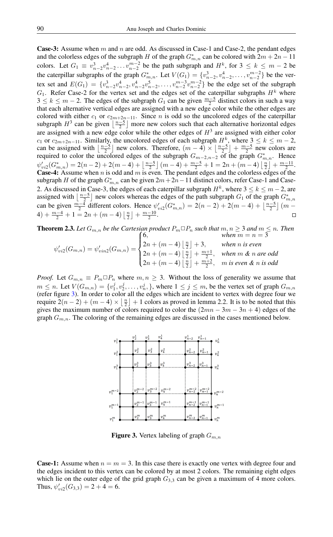**Case-3:** Assume when m and n are odd. As discussed in Case-1 and Case-2, the pendant edges and the colorless edges of the subgraph H of the graph  $G_{m,n}^*$  can be colored with  $2m + 2n - 11$ colors. Let  $G_1 \equiv v_{n-2}^3 v_{n-2}^4 \dots v_{n-2}^{m-2}$  be the path subgraph and  $H^k$ , for  $3 \leq k \leq m-2$  be the caterpillar subgraphs of the graph  $G_{m,n}^*$ . Let  $V(G_1) = \{v_{n-2}^3, v_{n-2}^4, \ldots, v_{n-2}^{m-2}\}$  be the vertex set and  $E(G_1) = \{v_{n-2}^3 v_{n-2}^4, v_{n-2}^5 v_{n-2}^5, \dots, v_{n-2}^{m-3} v_{n-2}^{m-2}\}$  be the edge set of the subgraph  $G_1$ . Refer Case-2 for the vertex set and the edges set of the caterpillar subgraphs  $H^k$  where  $3 \le k \le m-2$ . The edges of the subgraph  $G_1$  can be given  $\frac{m-5}{2}$  distinct colors in such a way that each alternative vertical edges are assigned with a new edge color while the other edges are colored with either  $c_1$  or  $c_{2m+2n-11}$ . Since n is odd so the uncolored edges of the caterpillar subgraph  $H^3$  can be given  $\lfloor \frac{n-5}{2} \rfloor$  more new colors such that each alternative horizontal edges are assigned with a new edge color while the other edges of  $H<sup>3</sup>$  are assigned with either color  $c_1$  or  $c_{2m+2n-11}$ . Similarly, the uncolored edges of each subgraph  $H^k$ , where  $3 \leq k \leq m-2$ , can be assigned with  $\left\lfloor \frac{n-5}{2} \right\rfloor$  new colors. Therefore,  $(m-4) \times \left\lfloor \frac{n-5}{2} \right\rfloor + \frac{m-5}{2}$  new colors are required to color the uncolored edges of the subgraph  $G_{m-2,n-2}$  of the graph  $G_{m,n}^*$ . Hence  $\psi'_{vi2}(G^*_{m,n}) = 2(n-2) + 2(m-4) + \left\lfloor \frac{n-5}{2} \right\rfloor (m-4) + \frac{m-5}{2} + 1 = 2n + (m-4) \left\lfloor \frac{n}{2} \right\rfloor + \frac{m-11}{2}.$ **Case-4:** Assume when n is odd and  $m$  is even. The pendant edges and the colorless edges of the subgraph H of the graph  $G_{m,n}^*$  can be given  $2m+2n-11$  distinct colors, refer Case-1 and Case-2. As discussed in Case-3, the edges of each caterpillar subgraph  $H^k$ , where  $3 \leq k \leq m-2$ , are assigned with  $\lfloor \frac{n-5}{2} \rfloor$  new colors whereas the edges of the path subgraph  $G_1$  of the graph  $G^*_{m,n}$ can be given  $\frac{m-4}{2}$  different colors. Hence  $\psi_{vi2}'(G_{m,n}^*) = 2(n-2) + 2(m-4) + \lfloor \frac{n-5}{2} \rfloor (m-4)$  $4) + \frac{m-4}{2} + 1 = 2n + (m-4) \left\lfloor \frac{n}{2} \right\rfloor + \frac{m-10}{2}.$  $\Box$ 

**Theorem 2.3.** Let 
$$
G_{m,n}
$$
 be the Cartesian product  $P_m \square P_n$  such that  $m, n \ge 3$  and  $m \le n$ . Then  
\nwhen  $m = n = 3$   
\n
$$
\psi'_{vi2}(G_{m,n}) = \psi'_{vin2}(G_{m,n}) = \begin{cases}\n6, & \text{when } m = n = 3 \\
2n + (m - 4) \left\lfloor \frac{n}{2} \right\rfloor + 3, & \text{when } n \text{ is even} \\
2n + (m - 4) \left\lfloor \frac{n}{2} \right\rfloor + \frac{m + 1}{2}, & \text{when } m \text{ & an arc odd} \\
2n + (m - 4) \left\lfloor \frac{n}{2} \right\rfloor + \frac{m + 2}{2}, & \text{in is even & a arc odd}\n\end{cases}
$$

*Proof.* Let  $G_{m,n} \equiv P_m \square P_n$  where  $m, n \geq 3$ . Without the loss of generality we assume that  $m \leq n$ . Let  $V(G_{m,n}) = \{v_1^j, v_2^j, \dots, v_n^j, \}$ , where  $1 \leq j \leq m$ , be the vertex set of graph  $G_{m,n}$ (refer figure [3\)](#page-4-0). In order to color all the edges which are incident to vertex with degree four we require  $2(n-2) + (m-4) \times \lfloor \frac{n}{2} \rfloor + 1$  colors as proved in lemma 2.2. It is to be noted that this gives the maximum number of colors required to color the  $(2mn - 3m - 3n + 4)$  edges of the graph  $G_{m,n}$ . The coloring of the remaining edges are discussed in the cases mentioned below.



<span id="page-4-0"></span>**Figure 3.** Vertex labeling of graph  $G_{m,n}$ 

**Case-1:** Assume when  $n = m = 3$ . In this case there is exactly one vertex with degree four and the edges incident to this vertex can be colored by at most 2 colors. The remaining eight edges which lie on the outer edge of the grid graph  $G_{3,3}$  can be given a maximum of 4 more colors. Thus,  $\psi_{vi2}'(G_{3,3}) = 2 + 4 = 6$ .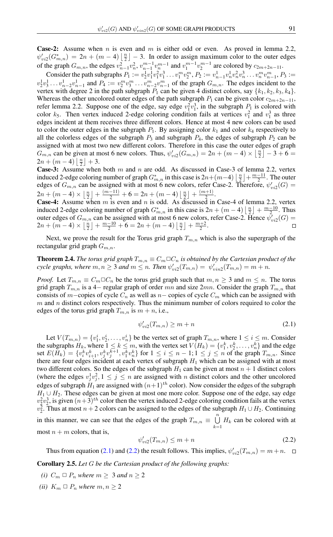**Case-2:** Assume when n is even and m is either odd or even. As proved in lemma 2.2,  $\psi_{vi2}'(G_{m,n}^*) = 2n + (m-4)\left\lfloor \frac{n}{2} \right\rfloor - 3$ . In order to assign maximum color to the outer edges  $\sum_{i=1}^{\infty}$   $\binom{m}{i}$   $\binom{m}{i}$   $\binom{m}{i}$   $\lfloor 2 \rfloor$ of the graph  $G_{m,n}$ , the edges  $v_{n-1}^2 v_n^2$ ,  $v_{n-1}^{m-1} v_n^{m-1}$  and  $v_1^{m-1} v_2^{m-1}$  are colored by  $c_{2m+2n-11}$ .

Consider the path subgraphs  $P_1 := v_2^1 v_1^1 v_1^2 v_1^3 \dots v_1^m v_2^m$ ,  $P_2 := v_{n-1}^1 v_n^1 v_n^2 v_n^3 \dots v_n^m v_{n-1}^m$ ,  $P_3 :=$  $v_2^1v_3^1\ldots v_{n-2}^1v_{n-1}^1$  and  $P_4:=v_2^mv_3^m\ldots v_{n-2}^mv_{n-1}^m$  of the graph  $G_{m,n}$ . The edges incident to the vertex with degree 2 in the path subgraph  $P_1$  can be given 4 distinct colors, say  $\{k_1, k_2, k_3, k_4\}$ . Whereas the other uncolored outer edges of the path subgraph  $P_1$  can be given color  $c_{2m+2n-11}$ , refer lemma 2.2. Suppose one of the edge, say edge  $v_1^2 v_1^3$ , in the subgraph  $P_1$  is colored with color  $k_5$ . Then vertex induced 2-edge coloring condition fails at vertices  $v_1^2$  and  $v_1^3$  as three edges incident at them receives three different colors. Hence at most 4 new colors can be used to color the outer edges in the subgraph  $P_1$ . By assigning color  $k_1$  and color  $k_4$  respectively to all the colorless edges of the subgraph  $P_3$  and subgraph  $P_4$ , the edges of subgraph  $P_2$  can be assigned with at most two new different colors. Therefore in this case the outer edges of graph  $G_{m,n}$  can be given at most 6 new colors. Thus,  $\psi'_{vi2}(G_{m,n}) = 2n + (m-4) \times \lfloor \frac{n}{2} \rfloor - 3 + 6 =$  $2n + (m-4)\left\lfloor \frac{n}{2} \right\rfloor + 3.$ 

**Case-3:** Assume when both m and n are odd. As discussed in Case-3 of lemma 2.2, vertex induced 2-edge coloring number of graph  $G^*_{m,n}$  in this case is  $2n + (m-4) \left\lfloor \frac{n}{2} \right\rfloor + \frac{m-11}{2}$ . The outer edges of  $G_{m,n}$  can be assigned with at most 6 new colors, refer Case-2. Therefore,  $\psi'_{vi2}(G)$  =  $2n + (m-4) \times \left\lfloor \frac{n}{2} \right\rfloor + \frac{(m-11)}{2} + 6 = 2n + (m-4) \left\lfloor \frac{n}{2} \right\rfloor + \frac{(m+1)}{2}$  $\frac{1}{2}$ .

**Case-4:** Assume when  $m$  is even and  $n$  is odd. As discussed in Case-4 of lemma 2.2, vertex induced 2-edge coloring number of graph  $G_{m,n}^*$  in this case is  $2n + (m-4)\left\lfloor \frac{n}{2} \right\rfloor + \frac{m-10}{2}$ . Thus outer edges of  $G_{m,n}$  can be assigned with at most 6 new colors, refer Case-2. Hence  $\bar{\psi}_{vi2}(G)$  $2n + (m-4) \times \left\lfloor \frac{n}{2} \right\rfloor + \frac{m-10}{2} + 6 = 2n + (m-4) \left\lfloor \frac{n}{2} \right\rfloor + \frac{m+2}{2}.$ 

Next, we prove the result for the Torus grid graph  $T_{m,n}$  which is also the supergraph of the rectangular grid graph  $G_{m,n}$ .

**Theorem 2.4.** *The torus grid graph*  $T_{m,n} \equiv C_m \Box C_n$  *is obtained by the Cartesian product of the cycle graphs, where*  $m, n \geq 3$  *and*  $m \leq n$ . *Then*  $\psi'_{vi2}(T_{m,n}) = \psi'_{vin2}(T_{m,n}) = m + n$ .

*Proof.* Let  $T_{m,n} \equiv C_m \square C_n$  be the torus grid graph such that  $m, n \geq 3$  and  $m \leq n$ . The torus grid graph  $T_{m,n}$  is a 4– regular graph of order mn and size  $2mn$ . Consider the graph  $T_{m,n}$  that consists of m−copies of cycle  $C_n$  as well as n− copies of cycle  $C_m$  which can be assigned with  $m$  and  $n$  distinct colors respectively. Thus the minimum number of colors required to color the edges of the torus grid graph  $T_{m,n}$  is  $m + n$ , i.e.,

<span id="page-5-0"></span>
$$
\psi'_{vi2}(T_{m,n}) \ge m+n \tag{2.1}
$$

Let  $V(T_{m,n}) = \{v_1^i, v_2^i, \dots, v_n^i\}$  be the vertex set of graph  $T_{m,n}$ , where  $1 \le i \le m$ . Consider the subgraphs  $H_k$ , where  $1 \le k \le m$ , with the vertex set  $V(H_k) = \{v_1^k, v_2^k, \dots, v_n^k\}$  and the edge set  $E(H_k) = \{v_i^k v_{i+1}^k, v_j^k v_j^{k+1}, v_1^k v_n^k\}$  for  $1 \le i \le n-1; 1 \le j \le n$  of the graph  $T_{m,n}$ . Since there are four edges incident at each vertex of subgraph  $H_1$  which can be assigned with at most two different colors. So the edges of the subgraph  $H_1$  can be given at most  $n + 1$  distinct colors (where the edges  $v_j^1 v_j^2$ ,  $1 \le j \le n$  are assigned with *n* distinct colors and the other uncolored edges of subgraph  $H_1$  are assigned with  $(n+1)^{th}$  color). Now consider the edges of the subgraph  $H_1 \cup H_2$ . These edges can be given at most one more color. Suppose one of the edge, say edge  $v_2^2 v_2^3$ , is given  $(n+3)^{th}$  color then the vertex induced 2-edge coloring condition fails at the vertex  $v_2^2$ . Thus at most  $n + 2$  colors can be assigned to the edges of the subgraph  $H_1 \cup H_2$ . Continuing in this manner, we can see that the edges of the graph  $T_{m,n} \equiv \bigcup_{n=1}^{n}$  $\bigcup_{k=1} H_k$  can be colored with at most  $n + m$  colors, that is,

<span id="page-5-1"></span>
$$
\psi'_{vi2}(T_{m,n}) \le m+n \tag{2.2}
$$

Thus from equation [\(2.1\)](#page-5-0) and [\(2.2\)](#page-5-1) the result follows. This implies,  $\psi'_{vi2}(T_{m,n}) = m+n$ .

Corollary 2.5. *Let* G *be the Cartesian product of the following graphs:*

- *(i)*  $C_m \square P_n$  *where*  $m \geq 3$  *and*  $n \geq 2$
- *(ii)*  $K_m \square P_n$  *where*  $m, n \geq 2$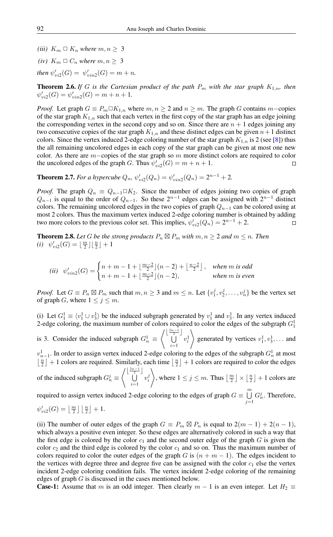- *(iii)*  $K_m \square K_n$  *where*  $m, n \geq 3$
- *(iv)*  $K_m \square C_n$  *where*  $m, n > 3$

*then*  $\psi'_{vi2}(G) = \psi'_{vin2}(G) = m + n$ *.* 

**Theorem 2.6.** *If* G *is the Cartesian product of the path*  $P_m$  *with the star graph*  $K_{1,n}$ *, then*  $\psi'_{vi2}(G) = \psi'_{vin2}(G) = m + n + 1.$ 

*Proof.* Let graph  $G \equiv P_m \Box K_{1,n}$  where  $m, n \ge 2$  and  $n \ge m$ . The graph G contains  $m$ -copies of the star graph  $K_{1,n}$  such that each vertex in the first copy of the star graph has an edge joining the corresponding vertex in the second copy and so on. Since there are  $n + 1$  edges joining any two consecutive copies of the star graph  $K_{1,n}$  and these distinct edges can be given  $n+1$  distinct colors. Since the vertex induced 2-edge coloring number of the star graph  $K_{1,n}$  is 2 (see [\[8\]](#page-9-5)) thus the all remaining uncolored edges in each copy of the star graph can be given at most one new color. As there are  $m$ -copies of the star graph so m more distinct colors are required to color the uncolored edges of the graph G. Thus  $\psi'_{vi2}(G) = m + n + 1$ .  $\Box$ 

**Theorem 2.7.** *For a hypercube*  $Q_n$ ,  $\psi'_{vi2}(Q_n) = \psi'_{vin2}(Q_n) = 2^{n-1} + 2$ .

*Proof.* The graph  $Q_n \equiv Q_{n-1} \square K_2$ . Since the number of edges joining two copies of graph  $Q_{n-1}$  is equal to the order of  $Q_{n-1}$ . So these  $2^{n-1}$  edges can be assigned with  $2^{n-1}$  distinct colors. The remaining uncolored edges in the two copies of graph  $Q_{n-1}$  can be colored using at most 2 colors. Thus the maximum vertex induced 2-edge coloring number is obtained by adding two more colors to the previous color set. This implies,  $\psi_{vi2}'(Q_n) = 2^{n-1} + 2$ .

**Theorem 2.8.** Let G be the strong products  $P_n \boxtimes P_m$  with  $m, n \geq 2$  and  $m \leq n$ . Then (*i*)  $\psi'_{vi2}(G) = \lfloor \frac{m}{2} \rfloor \lfloor \frac{n}{2} \rfloor + 1$ 

(ii) 
$$
\psi'_{vin2}(G) = \begin{cases} n+m-1+\lfloor \frac{m-2}{2} \rfloor (n-2) + \lfloor \frac{n-2}{2} \rfloor, & when m \text{ is odd} \\ n+m-1+\lfloor \frac{m-2}{2} \rfloor (n-2), & when m \text{ is even} \end{cases}
$$

*Proof.* Let  $G \equiv P_n \boxtimes P_m$  such that  $m, n \ge 3$  and  $m \le n$ . Let  $\{v_1^j, v_2^j, \dots, v_n^j\}$  be the vertex set of graph G, where  $1 \leq j \leq m$ .

(i) Let  $G_1^1 \equiv \langle v_1^1 \cup v_3^1 \rangle$  be the induced subgraph generated by  $v_1^1$  and  $v_3^1$ . In any vertex induced 2-edge coloring, the maximum number of colors required to color the edges of the subgraph  $G_1^1$ is 3. Consider the induced subgraph  $G_n^1 \equiv$  $\begin{bmatrix} \frac{2n-1}{2} \end{bmatrix}$  $i=1$  $v_i^1$  $\setminus$ generated by vertices  $v_1^1, v_3^1, \ldots$  and  $v_{n-1}^1$ . In order to assign vertex induced 2-edge coloring to the edges of the subgraph  $G_n^1$  at most  $\lfloor \frac{n}{2} \rfloor + 1$  colors are required. Similarly, each time  $\lfloor \frac{n}{2} \rfloor + 1$  colors are required to color the edges of the induced subgraph  $G_n^j \equiv$  $\begin{bmatrix} \lfloor \frac{2n-1}{2} \rfloor \\ 1 \end{bmatrix}$  $i=1$  $v_i^j$  $\setminus$ , where  $1 \leq j \leq m$ . Thus  $\left\lfloor \frac{m}{2} \right\rfloor \times \left\lfloor \frac{n}{2} \right\rfloor + 1$  colors are required to assign vertex induced 2-edge coloring to the edges of graph  $G \equiv \bigcup^{m}$ 

 $j=1$  $G_n^j$ . Therefore,  $\psi'_{vi2}(G) = \left\lfloor \frac{m}{2} \right\rfloor \left\lfloor \frac{n}{2} \right\rfloor + 1.$ 

(ii) The number of outer edges of the graph  $G \equiv P_m \boxtimes P_n$  is equal to  $2(m - 1) + 2(n - 1)$ , which always a positive even integer. So these edges are alternatively colored in such a way that the first edge is colored by the color  $c_1$  and the second outer edge of the graph G is given the color  $c_2$  and the third edge is colored by the color  $c_1$  and so on. Thus the maximum number of colors required to color the outer edges of the graph G is  $(n + m - 1)$ . The edges incident to the vertices with degree three and degree five can be assigned with the color  $c_1$  else the vertex incident 2-edge coloring condition fails. The vertex incident 2-edge coloring of the remaining edges of graph G is discussed in the cases mentioned below.

**Case-1:** Assume that m is an odd integer. Then clearly  $m - 1$  is an even integer. Let  $H_2 \equiv$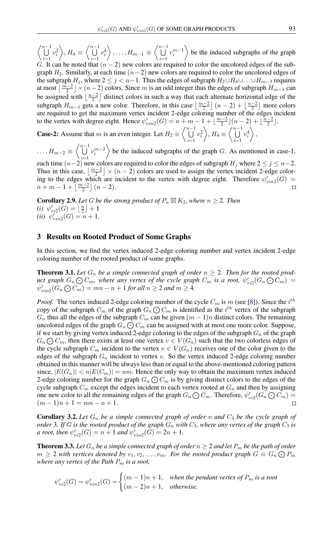$\left\langle \bigcup^{n-1} \right\rangle$  $\frac{i=1}{i}$  $v_i^2$  $\Big\}, H_4 \equiv \Big\langle \bigcup^{n-1}$  $\frac{i=1}{i}$  $v_i^4$  $\bigg\}$ , ...,  $H_{m-1} \equiv \left\langle \bigcup^{n-1} \right\rangle$  $\frac{i=1}{i}$  $v_i^{m-1}$  $\rangle$  be the induced subgraphs of the graph

G. It can be noted that  $(n - 2)$  new colors are required to color the uncolored edges of the subgraph  $H_2$ . Similarly, at each time  $(n-2)$  new colors are required to color the uncolored edges of the subgraph  $H_i$ , where  $2 \leq j \leq n-1$ . Thus the edges of subgraph  $H_2 \cup H_4 \cup \ldots \cup H_{m-3}$  requires at most  $\lfloor \frac{m-2}{2} \rfloor \times (n-2)$  colors. Since m is an odd integer thus the edges of subgraph  $H_{m-1}$  can be assigned with  $\lfloor \frac{n-2}{2} \rfloor$  distinct colors in such a way that each alternate horizontal edge of the subgraph  $H_{m-1}$  gets a new color. Therefore, in this case  $\left\lfloor \frac{m-2}{2} \right\rfloor (n-2) + \left\lfloor \frac{n-2}{2} \right\rfloor$  more colors are required to get the maximum vertex incident 2-edge coloring number of the edges incident to the vertex with degree eight. Hence  $\psi'_{vin2}(G) = n + m - 1 + \lfloor \frac{m-2}{2} \rfloor (n-2) + \lfloor \frac{n-2}{2} \rfloor$ .

**Case-2:** Assume that m is an even integer. Let  $H_2 \equiv \begin{pmatrix} n-1 \\ 1 \end{pmatrix}$  $i=1$  $v_i^2$  $\Big\}, H_4 \equiv \Big\langle \bigcup^{n-1}$  $i=1$  $v_i^4$  $\Bigr\rangle,$ 

 $\dots, H_{m-2} \equiv \left\langle \bigcup^{n-1} \right\rangle$ be the induced subgraphs of the graph  $G$ . As mentioned in case-1,  $v_i^{m-2}$  $i=1$ each time  $(n-2)$  new colors are required to color the edges of subgraph  $H_j$  where  $2 \le j \le n-2$ . Thus in this case,  $\lfloor \frac{m-2}{2} \rfloor \times (n-2)$  colors are used to assign the vertex incident 2-edge coloring to the edges which are incident to the vertex with degree eight. Therefore  $\psi'_{vin2}(G)$  =  $n + m - 1 + \left\lfloor \frac{m-2}{2} \right\rfloor (n-2).$  $\Box$ 

**Corollary 2.9.** Let G be the strong product of  $P_n \boxtimes K_2$ , where  $n \geq 2$ . Then (*i*)  $\psi'_{vi2}(G) = \lfloor \frac{n}{2} \rfloor + 1$ (*ii*)  $\psi'_{vin2}(G) = n + 1$ .

## 3 Results on Rooted Product of Some Graphs

In this section, we find the vertex induced 2-edge coloring number and vertex incident 2-edge coloring number of the rooted product of some graphs.

<span id="page-7-0"></span>**Theorem 3.1.** Let  $G_n$  be a simple connected graph of order  $n \geq 2$ . Then for the rooted prod*uct graph*  $G_n \text{O}_m$ , where any vertex of the cycle graph  $C_m$  is a root,  $\psi'_{vi2}(G_n \text{O}_m)$  =  $\psi'_{vin2}(G_n \bigodot C_m) = mn - n + 1$  *for all*  $n \ge 2$  *and*  $m \ge 4$ *.* 

*Proof.* The vertex induced 2-edge coloring number of the cycle  $C_m$  is m (see [\[8\]](#page-9-5)). Since the  $i^{th}$ copy of the subgraph  $C_m$  of the graph  $G_n \bigodot C_m$  is identified as the  $i^{th}$  vertex of the subgraph  $G_n$  thus all the edges of the subgraph  $C_m$  can be given  $(m - 1)n$  distinct colors. The remaining uncolored edges of the graph  $G_n \bigodot G_m$  can be assigned with at most one more color. Suppose, if we start by giving vertex induced 2-edge coloring to the edges of the subgraph  $G_n$  of the graph  $G_n \bigodot C_m$ , then there exists at least one vertex  $v \in V(G_n)$  such that the two colorless edges of the cycle subgraph  $C_m$  incident to the vertex  $v \in V(G_n)$  receives one of the color given to the edges of the subgraph  $G_n$  incident to vertex v. So the vertex induced 2-edge coloring number obtained in this manner will be always less than or equal to the above-mentioned coloring pattern since,  $|E(G_n)| < n|E(C_m)| = nm$ . Hence the only way to obtain the maximum vertex induced 2-edge coloring number for the graph  $G_n \bigodot C_m$  is by giving distinct colors to the edges of the cycle subgraph  $C_m$  except the edges incident to each vertex rooted at  $G_n$  and then by assigning one new color to all the remaining edges of the graph  $G_n \text{O} C_m$ . Therefore,  $\psi'_{vi2}(G_n \text{O} C_m)$  $(m-1)n + 1 = mn - n + 1.$  $\Box$ 

Corollary 3.2. *Let* G<sup>n</sup> *be a simple connected graph of order* n *and* C<sup>3</sup> *be the cycle graph of order* 3*. If* G *is the rooted product of the graph*  $G_n$  *with*  $C_3$ *, where any vertex of the graph*  $C_3$  *is a* root, then  $\psi'_{vi2}(G) = n + 1$  *and*  $\psi'_{vin2}(G) = 2n + 1$ *.* 

**Theorem 3.3.** Let  $G_n$  be a simple connected graph of order  $n \geq 2$  and let  $P_m$  be the path of order  $m \geq 2$  with vertices denoted by  $v_1, v_2, \ldots, v_m$ . For the rooted product graph  $G \equiv G_n \bigodot P_m$ *where any vertex of the Path* P<sup>m</sup> *is a root,*

$$
\psi'_{vi2}(G) = \psi'_{vin2}(G) = \begin{cases} (m-1)n + 1, & \text{when the pendant vertex of } P_m \text{ is a root} \\ (m-2)n + 1, & \text{otherwise.} \end{cases}
$$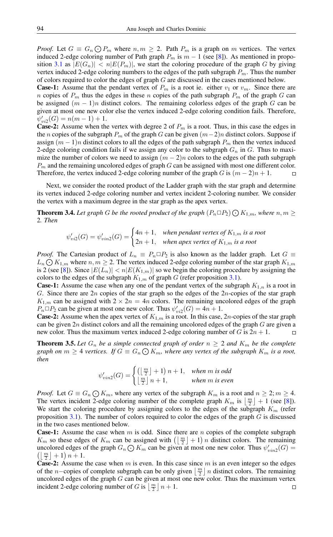*Proof.* Let  $G \equiv G_n \bigcirc P_m$  where  $n, m \ge 2$ . Path  $P_m$  is a graph on m vertices. The vertex induced 2-edge coloring number of Path graph  $P_m$  is  $m - 1$  (see [\[8\]](#page-9-5)). As mentioned in propo-sition [3.1](#page-7-0) as  $|E(G_n)| < n|E(P_m)|$ , we start the coloring procedure of the graph G by giving vertex induced 2-edge coloring numbers to the edges of the path subgraph  $P_m$ . Thus the number of colors required to color the edges of graph G are discussed in the cases mentioned below.

**Case-1:** Assume that the pendant vertex of  $P_m$  is a root ie. either  $v_1$  or  $v_m$ . Since there are n copies of  $P_m$  thus the edges in these n copies of the path subgraph  $P_m$  of the graph G can be assigned  $(m - 1)n$  distinct colors. The remaining colorless edges of the graph G can be given at most one new color else the vertex induced 2-edge coloring condition fails. Therefore,  $\psi'_{vi2}(G) = n(m-1) + 1.$ 

**Case-2:** Assume when the vertex with degree 2 of  $P_m$  is a root. Thus, in this case the edges in the n copies of the subgraph  $P_m$  of the graph G can be given  $(m-2)n$  distinct colors. Suppose if assign  $(m - 1)n$  distinct colors to all the edges of the path subgraph  $P_m$  then the vertex induced 2-edge coloring condition fails if we assign any color to the subgraph  $G_n$  in G. Thus to maximize the number of colors we need to assign  $(m - 2)n$  colors to the edges of the path subgraph  $P_m$  and the remaining uncolored edges of graph G can be assigned with most one different color. Therefore, the vertex induced 2-edge coloring number of the graph G is  $(m-2)n + 1$ .  $\Box$ 

Next, we consider the rooted product of the Ladder graph with the star graph and determine its vertex induced 2-edge coloring number and vertex incident 2-coloring number. We consider the vertex with a maximum degree in the star graph as the apex vertex.

**Theorem 3.4.** Let graph G be the rooted product of the graph  $(P_n \Box P_2) \bigodot K_{1,m}$ , where  $n, m \geq$ 2*. Then*

$$
\psi'_{vi2}(G) = \psi'_{vin2}(G) = \begin{cases} 4n+1, & \text{when pendant vertex of } K_{1,m} \text{ is a root} \\ 2n+1, & \text{when apex vertex of } K_{1,m} \text{ is a root} \end{cases}
$$

*Proof.* The Cartesian product of  $L_n \equiv P_n \square P_2$  is also known as the ladder graph. Let  $G \equiv$  $L_n \bigodot K_{1,m}$  where  $n, m \geq 2$ . The vertex induced 2-edge coloring number of the star graph  $K_{1,m}$ is 2 (see [\[8\]](#page-9-5)). Since  $|E(L_n)| < n|E(K_{1,m})|$  so we begin the coloring procedure by assigning the colors to the edges of the subgraph  $K_{1,m}$  of graph G (refer proposition [3.1\)](#page-7-0).

**Case-1:** Assume the case when any one of the pendant vertex of the subgraph  $K_{1,n}$  is a root in G. Since there are  $2n$  copies of the star graph so the edges of the  $2n$ -copies of the star graph  $K_{1,m}$  can be assigned with  $2 \times 2n = 4n$  colors. The remaining uncolored edges of the graph  $P_n \Box P_2$  can be given at most one new color. Thus  $\psi_{vi2}'(G) = 4n + 1$ .

**Case-2:** Assume when the apex vertex of  $K_{1,m}$  is a root. In this case, 2*n*-copies of the star graph can be given  $2n$  distinct colors and all the remaining uncolored edges of the graph  $G$  are given a new color. Thus the maximum vertex induced 2-edge coloring number of G is  $2n + 1$ .  $\Box$ 

**Theorem 3.5.** Let  $G_n$  be a simple connected graph of order  $n \geq 2$  and  $K_m$  be the complete graph on  $m \geq 4$  vertices. If  $G \equiv G_n \bigodot K_m$ , where any vertex of the subgraph  $K_m$  is a root, *then*

$$
\psi'_{vin2}(G) = \begin{cases} \left(\left\lfloor \frac{m}{2} \right\rfloor + 1\right) n + 1, & when m \text{ is odd} \\ \left\lfloor \frac{m}{2} \right\rfloor n + 1, & when m \text{ is even} \end{cases}
$$

*Proof.* Let  $G \equiv G_n \bigodot K_m$ , where any vertex of the subgraph  $K_m$  is a root and  $n \geq 2$ ;  $m \geq 4$ . The vertex incident 2-edge coloring number of the complete graph  $K_m$  is  $\lfloor \frac{m}{2} \rfloor + 1$  (see [\[8\]](#page-9-5)). We start the coloring procedure by assigning colors to the edges of the subgraph  $K_m$  (refer proposition [3.1\)](#page-7-0). The number of colors required to color the edges of the graph  $G$  is discussed in the two cases mentioned below.

**Case-1:** Assume the case when  $m$  is odd. Since there are  $n$  copies of the complete subgraph  $K_m$  so these edges of  $K_m$  can be assigned with  $(\lfloor \frac{m}{2} \rfloor + 1)n$  distinct colors. The remaining uncolored edges of the graph  $G_n \bigcirc K_m$  can be given at most one new color. Thus  $\psi'_{vin2}(G) =$  $\left(\left\lfloor \frac{m}{2} \right\rfloor + 1\right) n + 1.$ 

**Case-2:** Assume the case when  $m$  is even. In this case since  $m$  is an even integer so the edges of the *n*−copies of complete subgraph can be only given  $\lfloor \frac{m}{2} \rfloor n$  distinct colors. The remaining uncolored edges of the graph  $G$  can be given at most one new color. Thus the maximum vertex incident 2-edge coloring number of G is  $\lfloor \frac{m}{2} \rfloor n + 1$ .  $\Box$